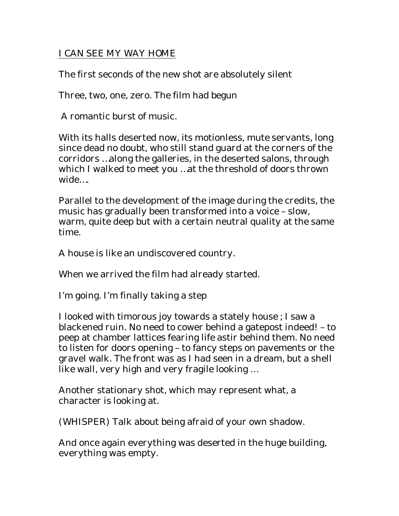## I CAN SEE MY WAY HOME

The first seconds of the new shot are absolutely silent

Three, two, one, zero. The film had begun

A romantic burst of music.

With its halls deserted now, its motionless, mute servants, long since dead no doubt, who still stand guard at the corners of the corridors …along the galleries, in the deserted salons, through which I walked to meet you …at the threshold of doors thrown wide….

Parallel to the development of the image during the credits, the music has gradually been transformed into a voice – slow, warm, quite deep but with a certain neutral quality at the same time.

A house is like an undiscovered country.

When we arrived the film had already started.

I'm going. I'm finally taking a step

I looked with timorous joy towards a stately house ; I saw a blackened ruin. No need to cower behind a gatepost indeed! – to peep at chamber lattices fearing life astir behind them. No need to listen for doors opening – to fancy steps on pavements or the gravel walk. The front was as I had seen in a dream, but a shell like wall, very high and very fragile looking …

Another stationary shot, which may represent what, a character is looking at.

(WHISPER) Talk about being afraid of your own shadow.

And once again everything was deserted in the huge building, everything was empty.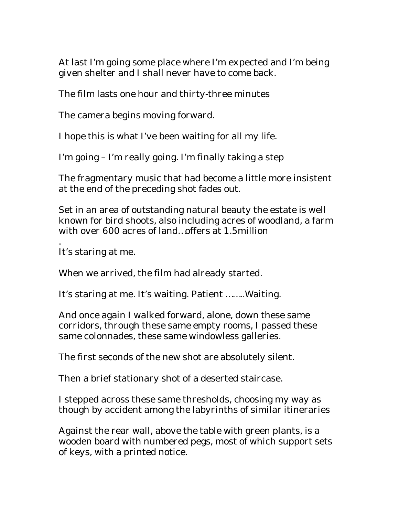At last I'm going some place where I'm expected and I'm being given shelter and I shall never have to come back.

The film lasts one hour and thirty-three minutes

The camera begins moving forward.

I hope this is what I've been waiting for all my life.

I'm going – I'm really going. I'm finally taking a step

The fragmentary music that had become a little more insistent at the end of the preceding shot fades out.

Set in an area of outstanding natural beauty the estate is well known for bird shoots, also including acres of woodland, a farm with over 600 acres of land…offers at 1.5million

. It's staring at me.

When we arrived, the film had already started.

It's staring at me. It's waiting. Patient ……..Waiting.

And once again I walked forward, alone, down these same corridors, through these same empty rooms, I passed these same colonnades, these same windowless galleries.

The first seconds of the new shot are absolutely silent.

Then a brief stationary shot of a deserted staircase.

I stepped across these same thresholds, choosing my way as though by accident among the labyrinths of similar itineraries

Against the rear wall, above the table with green plants, is a wooden board with numbered pegs, most of which support sets of keys, with a printed notice.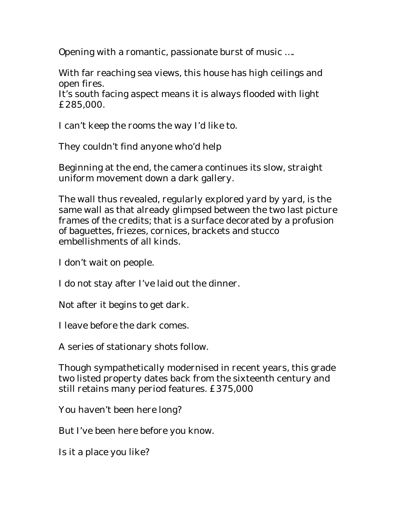Opening with a romantic, passionate burst of music ….

With far reaching sea views, this house has high ceilings and open fires.

It's south facing aspect means it is always flooded with light £285,000.

I can't keep the rooms the way I'd like to.

They couldn't find anyone who'd help

Beginning at the end, the camera continues its slow, straight uniform movement down a dark gallery.

The wall thus revealed, regularly explored yard by yard, is the same wall as that already glimpsed between the two last picture frames of the credits; that is a surface decorated by a profusion of baguettes, friezes, cornices, brackets and stucco embellishments of all kinds.

I don't wait on people.

I do not stay after I've laid out the dinner.

Not after it begins to get dark.

I leave before the dark comes.

A series of stationary shots follow.

Though sympathetically modernised in recent years, this grade two listed property dates back from the sixteenth century and still retains many period features. £375,000

You haven't been here long?

But I've been here before you know.

Is it a place you like?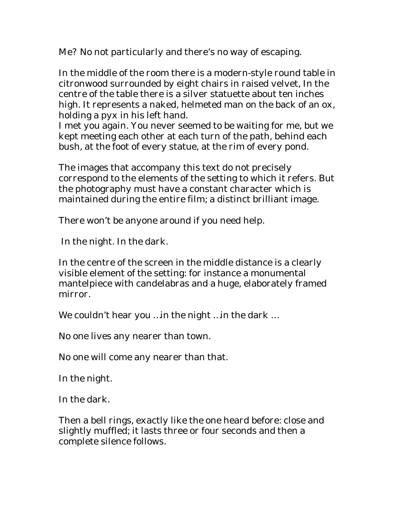Me? No not particularly and there's no way of escaping.

In the middle of the room there is a modern-style round table in citronwood surrounded by eight chairs in raised velvet, In the centre of the table there is a silver statuette about ten inches high. It represents a naked, helmeted man on the back of an ox, holding a pyx in his left hand.

I met you again. You never seemed to be waiting for me, but we kept meeting each other at each turn of the path, behind each bush, at the foot of every statue, at the rim of every pond.

The images that accompany this text do not precisely correspond to the elements of the setting to which it refers. But the photography must have a constant character which is maintained during the entire film; a distinct brilliant image.

There won't be anyone around if you need help.

In the night. In the dark.

In the centre of the screen in the middle distance is a clearly visible element of the setting: for instance a monumental mantelpiece with candelabras and a huge, elaborately framed mirror.

We couldn't hear you …in the night …in the dark …

No one lives any nearer than town.

No one will come any nearer than that.

In the night.

In the dark.

Then a bell rings, exactly like the one heard before: close and slightly muffled; it lasts three or four seconds and then a complete silence follows.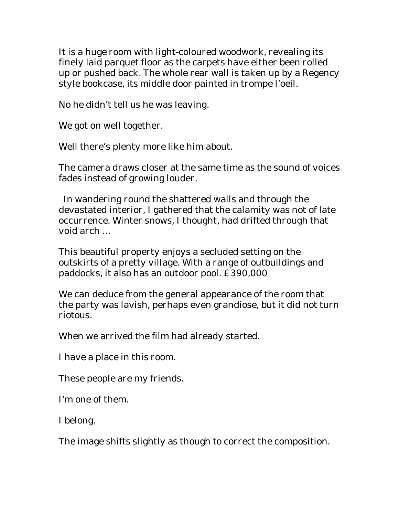It is a huge room with light-coloured woodwork, revealing its finely laid parquet floor as the carpets have either been rolled up or pushed back. The whole rear wall is taken up by a Regency style bookcase, its middle door painted in trompe l'oeil.

No he didn't tell us he was leaving.

We got on well together.

Well there's plenty more like him about.

The camera draws closer at the same time as the sound of voices fades instead of growing louder.

 In wandering round the shattered walls and through the devastated interior, I gathered that the calamity was not of late occurrence. Winter snows, I thought, had drifted through that void arch …

This beautiful property enjoys a secluded setting on the outskirts of a pretty village. With a range of outbuildings and paddocks, it also has an outdoor pool. £390,000

We can deduce from the general appearance of the room that the party was lavish, perhaps even grandiose, but it did not turn riotous.

When we arrived the film had already started.

I have a place in this room.

These people are my friends.

I'm one of them.

I belong.

The image shifts slightly as though to correct the composition.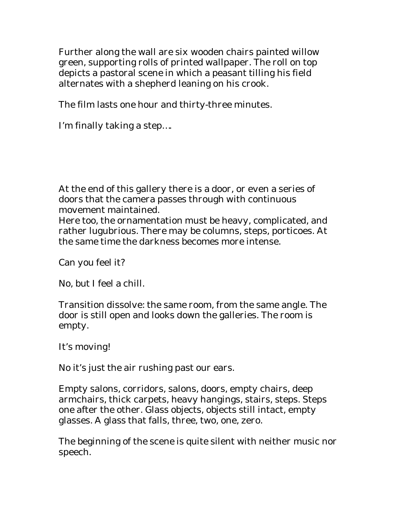Further along the wall are six wooden chairs painted willow green, supporting rolls of printed wallpaper. The roll on top depicts a pastoral scene in which a peasant tilling his field alternates with a shepherd leaning on his crook.

The film lasts one hour and thirty-three minutes.

I'm finally taking a step….

At the end of this gallery there is a door, or even a series of doors that the camera passes through with continuous movement maintained.

Here too, the ornamentation must be heavy, complicated, and rather lugubrious. There may be columns, steps, porticoes. At the same time the darkness becomes more intense.

Can you feel it?

No, but I feel a chill.

Transition dissolve: the same room, from the same angle. The door is still open and looks down the galleries. The room is empty.

It's moving!

No it's just the air rushing past our ears.

Empty salons, corridors, salons, doors, empty chairs, deep armchairs, thick carpets, heavy hangings, stairs, steps. Steps one after the other. Glass objects, objects still intact, empty glasses. A glass that falls, three, two, one, zero.

The beginning of the scene is quite silent with neither music nor speech.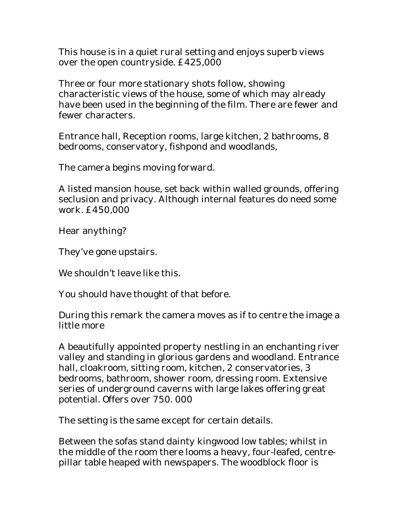This house is in a quiet rural setting and enjoys superb views over the open countryside. £425,000

Three or four more stationary shots follow, showing characteristic views of the house, some of which may already have been used in the beginning of the film. There are fewer and fewer characters.

Entrance hall, Reception rooms, large kitchen, 2 bathrooms, 8 bedrooms, conservatory, fishpond and woodlands,

The camera begins moving forward.

A listed mansion house, set back within walled grounds, offering seclusion and privacy. Although internal features do need some work. £450,000

Hear anything?

They've gone upstairs.

We shouldn't leave like this.

You should have thought of that before.

During this remark the camera moves as if to centre the image a little more

A beautifully appointed property nestling in an enchanting river valley and standing in glorious gardens and woodland. Entrance hall, cloakroom, sitting room, kitchen, 2 conservatories, 3 bedrooms, bathroom, shower room, dressing room. Extensive series of underground caverns with large lakes offering great potential. Offers over 750. 000

The setting is the same except for certain details.

Between the sofas stand dainty kingwood low tables; whilst in the middle of the room there looms a heavy, four-leafed, centrepillar table heaped with newspapers. The woodblock floor is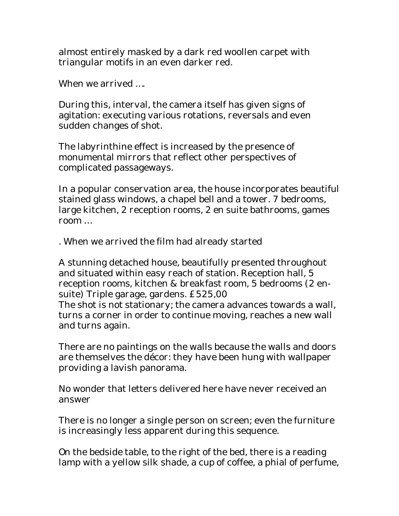almost entirely masked by a dark red woollen carpet with triangular motifs in an even darker red.

When we arrived ….

During this, interval, the camera itself has given signs of agitation: executing various rotations, reversals and even sudden changes of shot.

The labyrinthine effect is increased by the presence of monumental mirrors that reflect other perspectives of complicated passageways.

In a popular conservation area, the house incorporates beautiful stained glass windows, a chapel bell and a tower. 7 bedrooms, large kitchen, 2 reception rooms, 2 en suite bathrooms, games room …

. When we arrived the film had already started

A stunning detached house, beautifully presented throughout and situated within easy reach of station. Reception hall, 5 reception rooms, kitchen & breakfast room, 5 bedrooms (2 ensuite) Triple garage, gardens. £525,00 The shot is not stationary; the camera advances towards a wall, turns a corner in order to continue moving, reaches a new wall and turns again.

There are no paintings on the walls because the walls and doors are themselves the décor: they have been hung with wallpaper providing a lavish panorama.

No wonder that letters delivered here have never received an answer

There is no longer a single person on screen; even the furniture is increasingly less apparent during this sequence.

On the bedside table, to the right of the bed, there is a reading lamp with a yellow silk shade, a cup of coffee, a phial of perfume,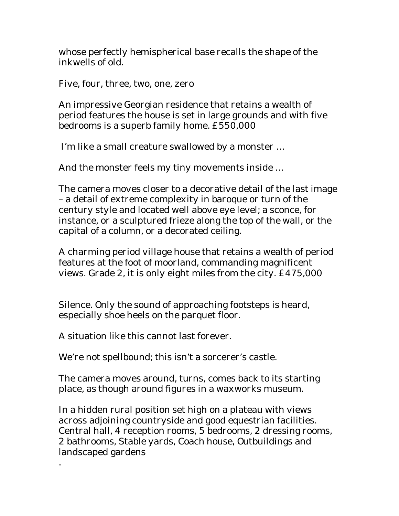whose perfectly hemispherical base recalls the shape of the inkwells of old.

Five, four, three, two, one, zero

An impressive Georgian residence that retains a wealth of period features the house is set in large grounds and with five bedrooms is a superb family home. £550,000

I'm like a small creature swallowed by a monster …

And the monster feels my tiny movements inside …

The camera moves closer to a decorative detail of the last image – a detail of extreme complexity in baroque or turn of the century style and located well above eye level; a sconce, for instance, or a sculptured frieze along the top of the wall, or the capital of a column, or a decorated ceiling.

A charming period village house that retains a wealth of period features at the foot of moorland, commanding magnificent views. Grade 2, it is only eight miles from the city. £475,000

Silence. Only the sound of approaching footsteps is heard, especially shoe heels on the parquet floor.

A situation like this cannot last forever.

.

We're not spellbound; this isn't a sorcerer's castle.

The camera moves around, turns, comes back to its starting place, as though around figures in a waxworks museum.

In a hidden rural position set high on a plateau with views across adjoining countryside and good equestrian facilities. Central hall, 4 reception rooms, 5 bedrooms, 2 dressing rooms, 2 bathrooms, Stable yards, Coach house, Outbuildings and landscaped gardens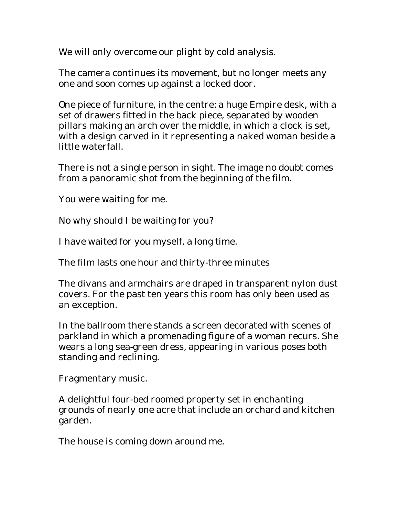We will only overcome our plight by cold analysis.

The camera continues its movement, but no longer meets any one and soon comes up against a locked door.

One piece of furniture, in the centre: a huge Empire desk, with a set of drawers fitted in the back piece, separated by wooden pillars making an arch over the middle, in which a clock is set, with a design carved in it representing a naked woman beside a little waterfall.

There is not a single person in sight. The image no doubt comes from a panoramic shot from the beginning of the film.

You were waiting for me.

No why should I be waiting for you?

I have waited for you myself, a long time.

The film lasts one hour and thirty-three minutes

The divans and armchairs are draped in transparent nylon dust covers. For the past ten years this room has only been used as an exception.

In the ballroom there stands a screen decorated with scenes of parkland in which a promenading figure of a woman recurs. She wears a long sea-green dress, appearing in various poses both standing and reclining.

Fragmentary music.

A delightful four-bed roomed property set in enchanting grounds of nearly one acre that include an orchard and kitchen garden.

The house is coming down around me.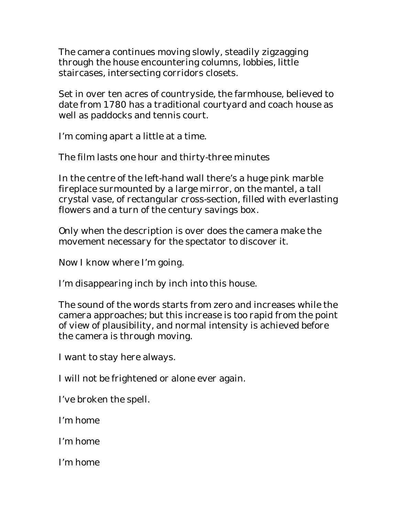The camera continues moving slowly, steadily zigzagging through the house encountering columns, lobbies, little staircases, intersecting corridors closets.

Set in over ten acres of countryside, the farmhouse, believed to date from 1780 has a traditional courtyard and coach house as well as paddocks and tennis court.

I'm coming apart a little at a time.

The film lasts one hour and thirty-three minutes

In the centre of the left-hand wall there's a huge pink marble fireplace surmounted by a large mirror, on the mantel, a tall crystal vase, of rectangular cross-section, filled with everlasting flowers and a turn of the century savings box.

Only when the description is over does the camera make the movement necessary for the spectator to discover it.

Now I know where I'm going.

I'm disappearing inch by inch into this house.

The sound of the words starts from zero and increases while the camera approaches; but this increase is too rapid from the point of view of plausibility, and normal intensity is achieved before the camera is through moving.

I want to stay here always.

I will not be frightened or alone ever again.

I've broken the spell.

I'm home

I'm home

I'm home